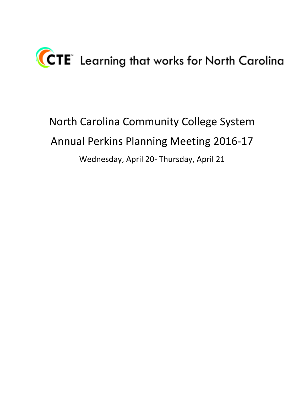

North Carolina Community College System Annual Perkins Planning Meeting 2016-17 Wednesday, April 20- Thursday, April 21